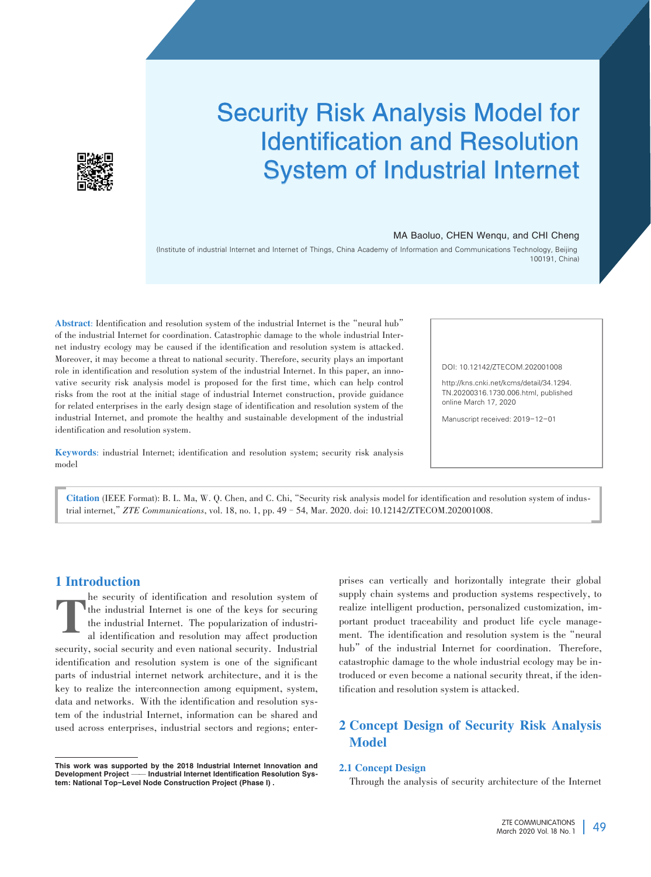# Security Risk Analysis Model for Identification and Resolution System of Industrial Internet

#### MA Baoluo, CHEN Wenqu, and CHI Cheng

(Institute of industrial Internet and Internet of Things, China Academy of Information and Communications Technology, Beijing 100191, China)

Abstract: Identification and resolution system of the industrial Internet is the"neural hub" of the industrial Internet for coordination. Catastrophic damage to the whole industrial Internet industry ecology may be caused if the identification and resolution system is attacked. Moreover, it may become a threat to national security. Therefore, security plays an important role in identification and resolution system of the industrial Internet. In this paper, an innovative security risk analysis model is proposed for the first time, which can help control risks from the root at the initial stage of industrial Internet construction, provide guidance for related enterprises in the early design stage of identification and resolution system of the industrial Internet, and promote the healthy and sustainable development of the industrial identification and resolution system.

Keywords: industrial Internet; identification and resolution system; security risk analysis model

DOI: 10.12142/ZTECOM.202001008

http://kns.cnki.net/kcms/detail/34.1294. TN.20200316.1730.006.html, published online March 17, 2020

Manuscript received: 2019-12-01

Citation (IEEE Format): B. L. Ma, W. Q. Chen, and C. Chi, "Security risk analysis model for identification and resolution system of industrial internet,"*ZTE Communications*, vol. 18, no. 1, pp. 49–54, Mar. 2020. doi: 10.12142/ZTECOM.202001008.

# 1 Introduction

T he security of identification and resolution system of the industrial Internet is one of the keys for securing the industrial Internet. The popularization of industrial identification and resolution may affect production security, social security and even national security. Industrial identification and resolution system is one of the significant parts of industrial internet network architecture, and it is the key to realize the interconnection among equipment, system, data and networks. With the identification and resolution system of the industrial Internet, information can be shared and used across enterprises, industrial sectors and regions; enter-

This work was supported by the 2018 Industrial Internet Innovation and Development Project -- Industrial Internet Identification Resolution System: National Top-Level Node Construction Project (Phase I) .

prises can vertically and horizontally integrate their global supply chain systems and production systems respectively, to realize intelligent production, personalized customization, im⁃ portant product traceability and product life cycle management. The identification and resolution system is the"neural hub" of the industrial Internet for coordination. Therefore, catastrophic damage to the whole industrial ecology may be introduced or even become a national security threat, if the identification and resolution system is attacked.

# 2 Concept Design of Security Risk Analysis Model

# 2.1 Concept Design

Through the analysis of security architecture of the Internet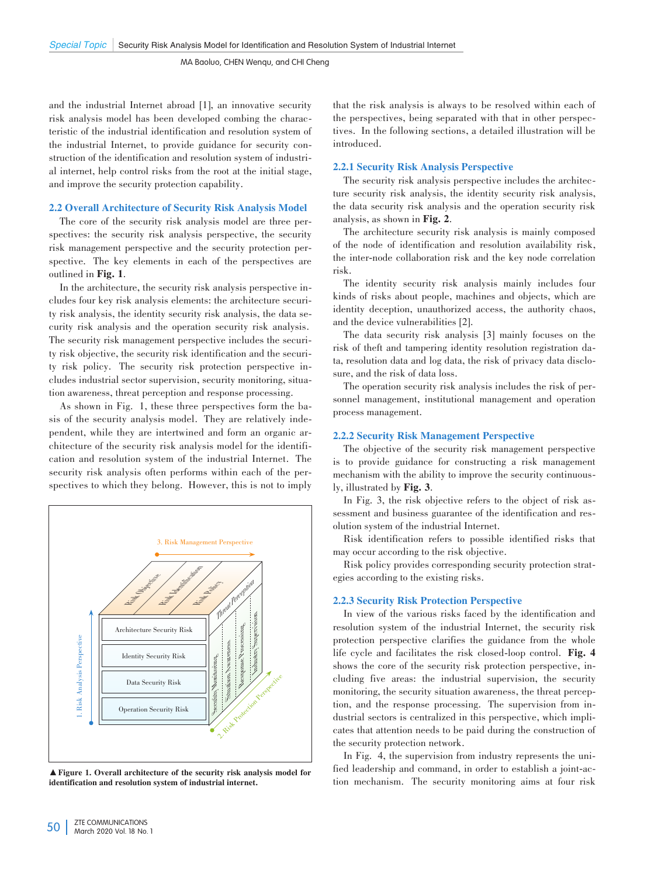and the industrial Internet abroad [1], an innovative security risk analysis model has been developed combing the characteristic of the industrial identification and resolution system of the industrial Internet, to provide guidance for security construction of the identification and resolution system of industrial internet, help control risks from the root at the initial stage, and improve the security protection capability.

# 2.2 Overall Architecture of Security Risk Analysis Model

The core of the security risk analysis model are three perspectives: the security risk analysis perspective, the security risk management perspective and the security protection perspective. The key elements in each of the perspectives are outlined in Fig. 1.

In the architecture, the security risk analysis perspective includes four key risk analysis elements: the architecture security risk analysis, the identity security risk analysis, the data security risk analysis and the operation security risk analysis. The security risk management perspective includes the security risk objective, the security risk identification and the security risk policy. The security risk protection perspective includes industrial sector supervision, security monitoring, situation awareness, threat perception and response processing.

As shown in Fig. 1, these three perspectives form the basis of the security analysis model. They are relatively independent, while they are intertwined and form an organic architecture of the security risk analysis model for the identification and resolution system of the industrial Internet. The security risk analysis often performs within each of the perspectives to which they belong. However, this is not to imply



▲Figure 1. Overall architecture of the security risk analysis model for identification and resolution system of industrial internet.

that the risk analysis is always to be resolved within each of the perspectives, being separated with that in other perspectives. In the following sections, a detailed illustration will be introduced.

# 2.2.1 Security Risk Analysis Perspective

The security risk analysis perspective includes the architecture security risk analysis, the identity security risk analysis, the data security risk analysis and the operation security risk analysis, as shown in Fig. 2.

The architecture security risk analysis is mainly composed of the node of identification and resolution availability risk, the inter-node collaboration risk and the key node correlation risk.

The identity security risk analysis mainly includes four kinds of risks about people, machines and objects, which are identity deception, unauthorized access, the authority chaos, and the device vulnerabilities [2].

The data security risk analysis [3] mainly focuses on the risk of theft and tampering identity resolution registration data, resolution data and log data, the risk of privacy data disclo⁃ sure, and the risk of data loss.

The operation security risk analysis includes the risk of personnel management, institutional management and operation process management.

# 2.2.2 Security Risk Management Perspective

The objective of the security risk management perspective is to provide guidance for constructing a risk management mechanism with the ability to improve the security continuously, illustrated by Fig. 3.

In Fig. 3, the risk objective refers to the object of risk assessment and business guarantee of the identification and resolution system of the industrial Internet.

Risk identification refers to possible identified risks that may occur according to the risk objective.

Risk policy provides corresponding security protection strategies according to the existing risks.

#### 2.2.3 Security Risk Protection Perspective

In view of the various risks faced by the identification and resolution system of the industrial Internet, the security risk protection perspective clarifies the guidance from the whole life cycle and facilitates the risk closed-loop control. Fig. 4 shows the core of the security risk protection perspective, including five areas: the industrial supervision, the security monitoring, the security situation awareness, the threat perception, and the response processing. The supervision from industrial sectors is centralized in this perspective, which implicates that attention needs to be paid during the construction of the security protection network.

In Fig. 4, the supervision from industry represents the unified leadership and command, in order to establish a joint-action mechanism. The security monitoring aims at four risk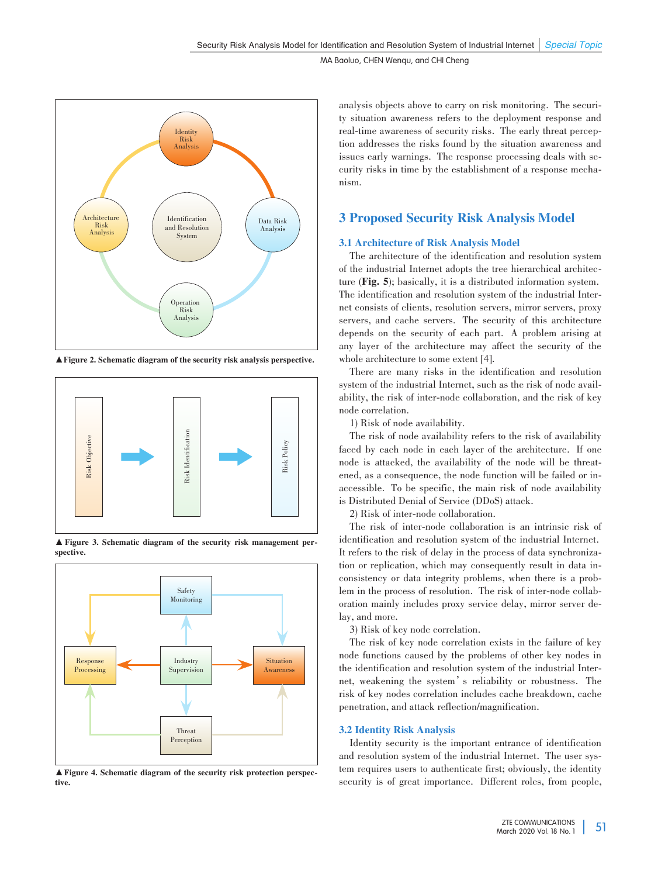

▲Figure 2. Schematic diagram of the security risk analysis perspective.



▲ Figure 3. Schematic diagram of the security risk management per⁃ spective.



▲Figure 4. Schematic diagram of the security risk protection perspec⁃ tive.

analysis objects above to carry on risk monitoring. The security situation awareness refers to the deployment response and real-time awareness of security risks. The early threat perception addresses the risks found by the situation awareness and issues early warnings. The response processing deals with security risks in time by the establishment of a response mechanism.

# 3 Proposed Security Risk Analysis Model

# 3.1 Architecture of Risk Analysis Model

The architecture of the identification and resolution system of the industrial Internet adopts the tree hierarchical architecture (Fig. 5); basically, it is a distributed information system. The identification and resolution system of the industrial Internet consists of clients, resolution servers, mirror servers, proxy servers, and cache servers. The security of this architecture depends on the security of each part. A problem arising at any layer of the architecture may affect the security of the whole architecture to some extent [4].

There are many risks in the identification and resolution system of the industrial Internet, such as the risk of node avail ability, the risk of inter-node collaboration, and the risk of key node correlation.

1) Risk of node availability.

The risk of node availability refers to the risk of availability faced by each node in each layer of the architecture. If one node is attacked, the availability of the node will be threatened, as a consequence, the node function will be failed or inaccessible. To be specific, the main risk of node availability is Distributed Denial of Service (DDoS) attack.

2) Risk of inter-node collaboration.

The risk of inter-node collaboration is an intrinsic risk of identification and resolution system of the industrial Internet. It refers to the risk of delay in the process of data synchronization or replication, which may consequently result in data inconsistency or data integrity problems, when there is a problem in the process of resolution. The risk of inter-node collaboration mainly includes proxy service delay, mirror server delay, and more.

3) Risk of key node correlation.

The risk of key node correlation exists in the failure of key node functions caused by the problems of other key nodes in the identification and resolution system of the industrial Internet, weakening the system's reliability or robustness. The risk of key nodes correlation includes cache breakdown, cache penetration, and attack reflection/magnification.

# 3.2 Identity Risk Analysis

Identity security is the important entrance of identification and resolution system of the industrial Internet. The user system requires users to authenticate first; obviously, the identity security is of great importance. Different roles, from people,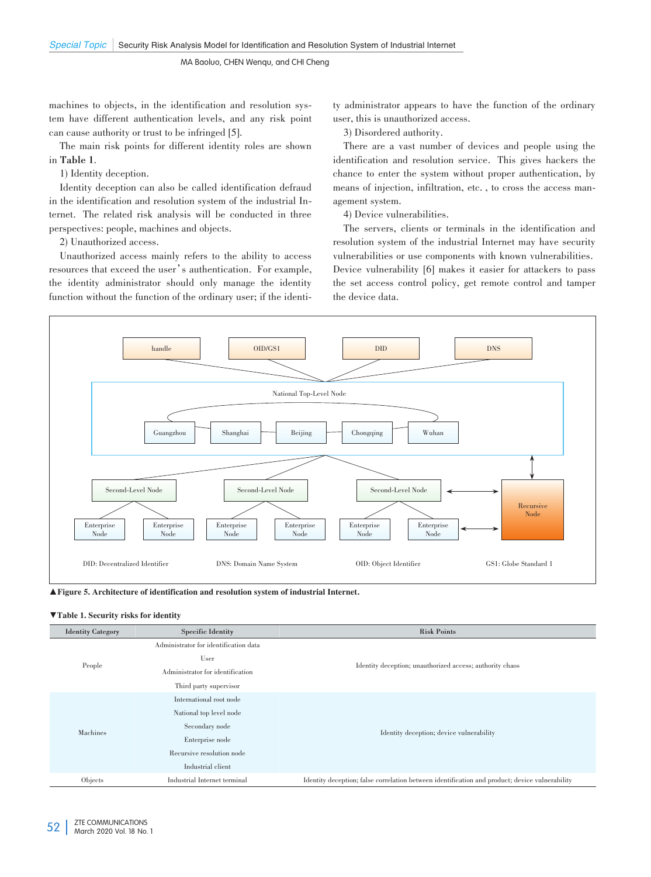MA Baoluo, CHEN Wenqu, and CHI Cheng

machines to objects, in the identification and resolution system have different authentication levels, and any risk point can cause authority or trust to be infringed [5].

The main risk points for different identity roles are shown in **Table 1**.

1) Identity deception.

Identity deception can also be called identification defraud in the identification and resolution system of the industrial Internet. The related risk analysis will be conducted in three perspectives: people, machines and objects.

2) Unauthorized access.

Unauthorized access mainly refers to the ability to access resources that exceed the user's authentication. For example, the identity administrator should only manage the identity function without the function of the ordinary user; if the identity administrator appears to have the function of the ordinary user, this is unauthorized access.

3) Disordered authority.

There are a vast number of devices and people using the identification and resolution service. This gives hackers the chance to enter the system without proper authentication, by means of injection, infiltration, etc., to cross the access management system.

4) Device vulnerabilities.

The servers, clients or terminals in the identification and resolution system of the industrial Internet may have security vulnerabilities or use components with known vulnerabilities. Device vulnerability [6] makes it easier for attackers to pass the set access control policy, get remote control and tamper the device data.



▲Figure 5. Architecture of identification and resolution system of industrial Internet.

#### ▼Table 1. Security risks for identity

| <b>Identity Category</b> | <b>Specific Identity</b>              | <b>Risk Points</b>                                                                             |
|--------------------------|---------------------------------------|------------------------------------------------------------------------------------------------|
| People                   | Administrator for identification data | Identity deception; unauthorized access; authority chaos                                       |
|                          | User                                  |                                                                                                |
|                          | Administrator for identification      |                                                                                                |
|                          | Third party supervisor                |                                                                                                |
| Machines                 | International root node               | Identity deception; device vulnerability                                                       |
|                          | National top level node               |                                                                                                |
|                          | Secondary node                        |                                                                                                |
|                          | Enterprise node                       |                                                                                                |
|                          | Recursive resolution node             |                                                                                                |
|                          | Industrial client                     |                                                                                                |
| Objects                  | Industrial Internet terminal          | Identity deception; false correlation between identification and product; device vulnerability |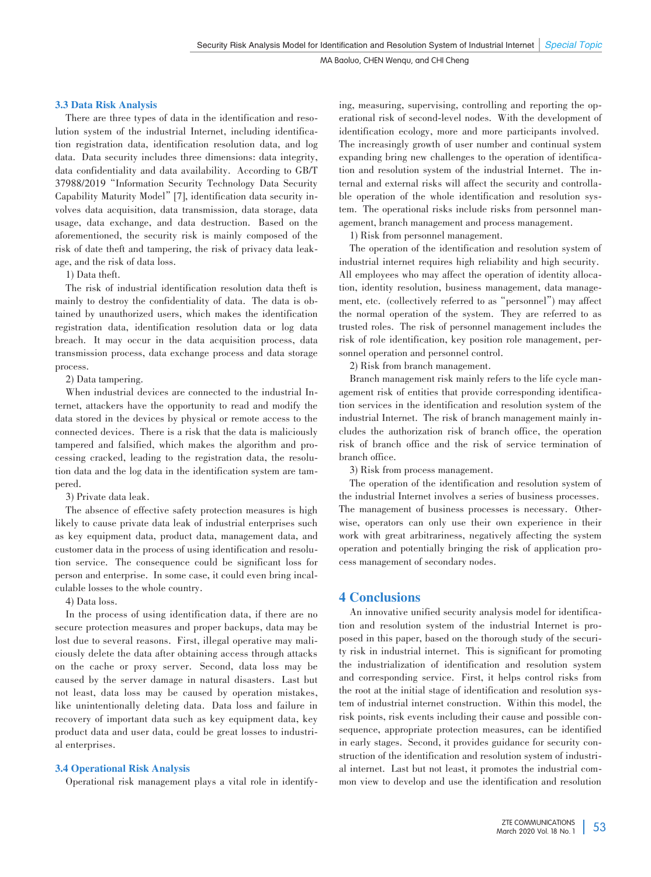MA Baoluo, CHEN Wenqu, and CHI Cheng

## 3.3 Data Risk Analysis

There are three types of data in the identification and resolution system of the industrial Internet, including identification registration data, identification resolution data, and log data. Data security includes three dimensions: data integrity, data confidentiality and data availability. According to GB/T 37988/2019"Information Security Technology Data Security Capability Maturity Model" [7], identification data security involves data acquisition, data transmission, data storage, data usage, data exchange, and data destruction. Based on the aforementioned, the security risk is mainly composed of the risk of date theft and tampering, the risk of privacy data leakage, and the risk of data loss.

## 1) Data theft.

The risk of industrial identification resolution data theft is mainly to destroy the confidentiality of data. The data is obtained by unauthorized users, which makes the identification registration data, identification resolution data or log data breach. It may occur in the data acquisition process, data transmission process, data exchange process and data storage process.

#### 2) Data tampering.

When industrial devices are connected to the industrial Internet, attackers have the opportunity to read and modify the data stored in the devices by physical or remote access to the connected devices. There is a risk that the data is maliciously tampered and falsified, which makes the algorithm and processing cracked, leading to the registration data, the resolution data and the log data in the identification system are tampered.

# 3) Private data leak.

The absence of effective safety protection measures is high likely to cause private data leak of industrial enterprises such as key equipment data, product data, management data, and customer data in the process of using identification and resolution service. The consequence could be significant loss for person and enterprise. In some case, it could even bring incalculable losses to the whole country.

4) Data loss.

In the process of using identification data, if there are no secure protection measures and proper backups, data may be lost due to several reasons. First, illegal operative may maliciously delete the data after obtaining access through attacks on the cache or proxy server. Second, data loss may be caused by the server damage in natural disasters. Last but not least, data loss may be caused by operation mistakes, like unintentionally deleting data. Data loss and failure in recovery of important data such as key equipment data, key product data and user data, could be great losses to industrial enterprises.

# 3.4 Operational Risk Analysis

Operational risk management plays a vital role in identify-

ing, measuring, supervising, controlling and reporting the operational risk of second-level nodes. With the development of identification ecology, more and more participants involved. The increasingly growth of user number and continual system expanding bring new challenges to the operation of identification and resolution system of the industrial Internet. The internal and external risks will affect the security and controllable operation of the whole identification and resolution system. The operational risks include risks from personnel management, branch management and process management.

1) Risk from personnel management.

The operation of the identification and resolution system of industrial internet requires high reliability and high security. All employees who may affect the operation of identity allocation, identity resolution, business management, data management, etc. (collectively referred to as"personnel") may affect the normal operation of the system. They are referred to as trusted roles. The risk of personnel management includes the risk of role identification, key position role management, personnel operation and personnel control.

2) Risk from branch management.

Branch management risk mainly refers to the life cycle management risk of entities that provide corresponding identification services in the identification and resolution system of the industrial Internet. The risk of branch management mainly includes the authorization risk of branch office, the operation risk of branch office and the risk of service termination of branch office.

3) Risk from process management.

The operation of the identification and resolution system of the industrial Internet involves a series of business processes. The management of business processes is necessary. Otherwise, operators can only use their own experience in their work with great arbitrariness, negatively affecting the system operation and potentially bringing the risk of application pro⁃ cess management of secondary nodes.

# 4 Conclusions

An innovative unified security analysis model for identification and resolution system of the industrial Internet is proposed in this paper, based on the thorough study of the security risk in industrial internet. This is significant for promoting the industrialization of identification and resolution system and corresponding service. First, it helps control risks from the root at the initial stage of identification and resolution system of industrial internet construction. Within this model, the risk points, risk events including their cause and possible consequence, appropriate protection measures, can be identified in early stages. Second, it provides guidance for security construction of the identification and resolution system of industrial internet. Last but not least, it promotes the industrial common view to develop and use the identification and resolution